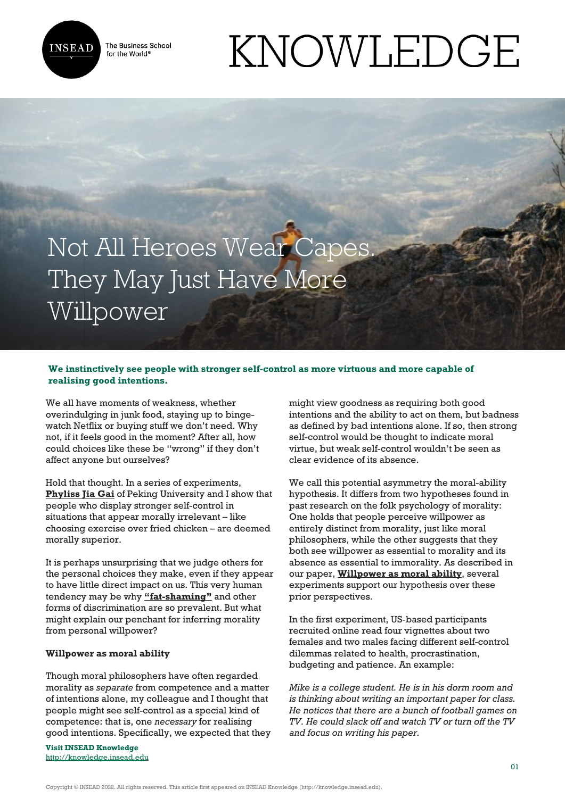

The Business School for the World<sup>®</sup>

# KNOWLEDGE

## Not All Heroes Wear Capes. They May Just Have More Willpower

### **We instinctively see people with stronger self-control as more virtuous and more capable of realising good intentions.**

We all have moments of weakness, whether overindulging in junk food, staying up to bingewatch Netflix or buying stuff we don't need. Why not, if it feels good in the moment? After all, how could choices like these be "wrong" if they don't affect anyone but ourselves?

Hold that thought. In a series of experiments, **[Phyliss Jia Gai](https://en.gsm.pku.edu.cn/conjsxq.jsp?urltype=tree.TreeTempUrl&wbtreeid=1099&user_id=gai)** of Peking University and I show that people who display stronger self-control in situations that appear morally irrelevant – like choosing exercise over fried chicken – are deemed morally superior.

It is perhaps unsurprising that we judge others for the personal choices they make, even if they appear to have little direct impact on us. This very human tendency may be why **["fat-shaming"](https://www.nytimes.com/2016/11/01/health/americans-obesity-willpower-genetics-study.html)** and other forms of discrimination are so prevalent. But what might explain our penchant for inferring morality from personal willpower?

#### **Willpower as moral ability**

Though moral philosophers have often regarded morality as *separate* from competence and a matter of intentions alone, my colleague and I thought that people might see self-control as a special kind of competence: that is, one *necessary* for realising good intentions. Specifically, we expected that they

**Visit INSEAD Knowledge** <http://knowledge.insead.edu>

might view goodness as requiring both good intentions and the ability to act on them, but badness as defined by bad intentions alone. If so, then strong self-control would be thought to indicate moral virtue, but weak self-control wouldn't be seen as clear evidence of its absence.

We call this potential asymmetry the moral-ability hypothesis. It differs from two hypotheses found in past research on the folk psychology of morality: One holds that people perceive willpower as entirely distinct from morality, just like moral philosophers, while the other suggests that they both see willpower as essential to morality and its absence as essential to immorality. As described in our paper, **[Willpower as moral ability](https://psycnet.apa.org/record/2022-19160-001)**, several experiments support our hypothesis over these prior perspectives.

In the first experiment, US-based participants recruited online read four vignettes about two females and two males facing different self-control dilemmas related to health, procrastination, budgeting and patience. An example:

*Mike is a college student. He is in his dorm room and is thinking about writing an important paper for class. He notices that there are a bunch of football games on TV. He could slack off and watch TV or turn off the TV and focus on writing his paper.*

Copyright © INSEAD 2022. All rights reserved. This article first appeared on INSEAD Knowledge (http://knowledge.insead.edu).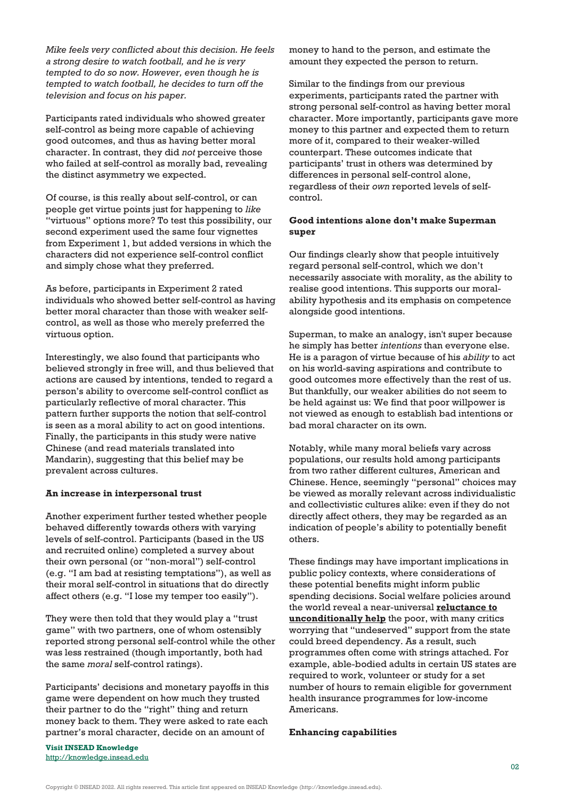*Mike feels very conflicted about this decision. He feels a strong desire to watch football, and he is very tempted to do so now. However, even though he is tempted to watch football, he decides to turn off the television and focus on his paper.*

Participants rated individuals who showed greater self-control as being more capable of achieving good outcomes, and thus as having better moral character. In contrast, they did *not* perceive those who failed at self-control as morally bad, revealing the distinct asymmetry we expected.

Of course, is this really about self-control, or can people get virtue points just for happening to *like* "virtuous" options more? To test this possibility, our second experiment used the same four vignettes from Experiment 1, but added versions in which the characters did not experience self-control conflict and simply chose what they preferred.

As before, participants in Experiment 2 rated individuals who showed better self-control as having better moral character than those with weaker selfcontrol, as well as those who merely preferred the virtuous option.

Interestingly, we also found that participants who believed strongly in free will, and thus believed that actions are caused by intentions, tended to regard a person's ability to overcome self-control conflict as particularly reflective of moral character. This pattern further supports the notion that self-control is seen as a moral ability to act on good intentions. Finally, the participants in this study were native Chinese (and read materials translated into Mandarin), suggesting that this belief may be prevalent across cultures.

#### **An increase in interpersonal trust**

Another experiment further tested whether people behaved differently towards others with varying levels of self-control. Participants (based in the US and recruited online) completed a survey about their own personal (or "non-moral") self-control (e.g. "I am bad at resisting temptations"), as well as their moral self-control in situations that do directly affect others (e.g. "I lose my temper too easily").

They were then told that they would play a "trust game" with two partners, one of whom ostensibly reported strong personal self-control while the other was less restrained (though importantly, both had the same *moral* self-control ratings).

Participants' decisions and monetary payoffs in this game were dependent on how much they trusted their partner to do the "right" thing and return money back to them. They were asked to rate each partner's moral character, decide on an amount of

money to hand to the person, and estimate the amount they expected the person to return.

Similar to the findings from our previous experiments, participants rated the partner with strong personal self-control as having better moral character. More importantly, participants gave more money to this partner and expected them to return more of it, compared to their weaker-willed counterpart. These outcomes indicate that participants' trust in others was determined by differences in personal self-control alone, regardless of their *own* reported levels of selfcontrol.

#### **Good intentions alone don't make Superman super**

Our findings clearly show that people intuitively regard personal self-control, which we don't necessarily associate with morality, as the ability to realise good intentions. This supports our moralability hypothesis and its emphasis on competence alongside good intentions.

Superman, to make an analogy, isn't super because he simply has better *intentions* than everyone else. He is a paragon of virtue because of his *ability* to act on his world-saving aspirations and contribute to good outcomes more effectively than the rest of us. But thankfully, our weaker abilities do not seem to be held against us: We find that poor willpower is not viewed as enough to establish bad intentions or bad moral character on its own.

Notably, while many moral beliefs vary across populations, our results hold among participants from two rather different cultures, American and Chinese. Hence, seemingly "personal" choices may be viewed as morally relevant across individualistic and collectivistic cultures alike: even if they do not directly affect others, they may be regarded as an indication of people's ability to potentially benefit others.

These findings may have important implications in public policy contexts, where considerations of these potential benefits might inform public spending decisions. Social welfare policies around the world reveal a near-universal **[reluctance to](https://epod.cid.harvard.edu/article/dispelling-myth-welfare-dependency) [unconditionally help](https://epod.cid.harvard.edu/article/dispelling-myth-welfare-dependency)** the poor, with many critics worrying that "undeserved" support from the state could breed dependency. As a result, such programmes often come with strings attached. For example, able-bodied adults in certain US states are required to work, volunteer or study for a set number of hours to remain eligible for government health insurance programmes for low-income Americans.

#### **Enhancing capabilities**

**Visit INSEAD Knowledge** <http://knowledge.insead.edu>

Copyright © INSEAD 2022. All rights reserved. This article first appeared on INSEAD Knowledge (http://knowledge.insead.edu).